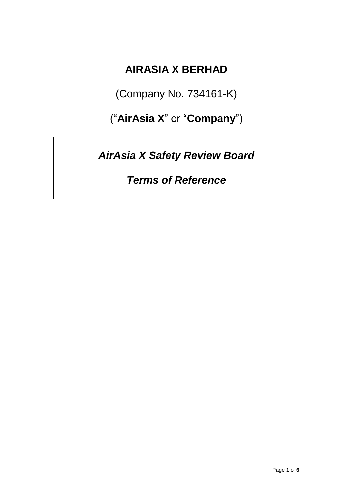## **AIRASIA X BERHAD**

(Company No. 734161-K)

("**AirAsia X**" or "**Company**")

*AirAsia X Safety Review Board*

*Terms of Reference*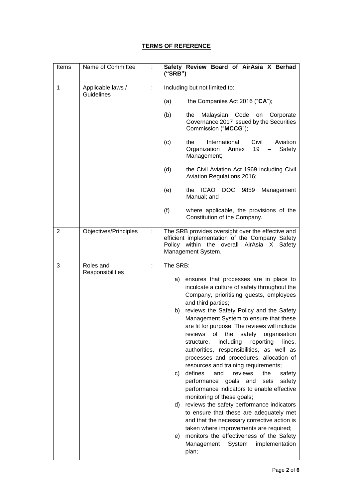## **TERMS OF REFERENCE**

| Items          | Name of Committee                      |                      | Safety Review Board of AirAsia X Berhad<br>("SRB")                                                                                                                      |
|----------------|----------------------------------------|----------------------|-------------------------------------------------------------------------------------------------------------------------------------------------------------------------|
| 1              | Applicable laws /<br><b>Guidelines</b> | t                    | Including but not limited to:                                                                                                                                           |
|                |                                        |                      | (a)<br>the Companies Act 2016 ("CA");                                                                                                                                   |
|                |                                        |                      | (b)<br>Malaysian Code<br>the<br>on<br>Corporate<br>Governance 2017 issued by the Securities<br>Commission ("MCCG");                                                     |
|                |                                        |                      | International<br>Civil<br>Aviation<br>(c)<br>the<br>Organization<br>19<br>Safety<br>Annex<br>Management;                                                                |
|                |                                        |                      | (d)<br>the Civil Aviation Act 1969 including Civil<br>Aviation Regulations 2016;                                                                                        |
|                |                                        |                      | ICAO DOC<br>(e)<br>9859<br>the<br>Management<br>Manual; and                                                                                                             |
|                |                                        |                      | (f)<br>where applicable, the provisions of the<br>Constitution of the Company.                                                                                          |
| $\overline{2}$ | Objectives/Principles                  | ÷                    | The SRB provides oversight over the effective and<br>efficient implementation of the Company Safety<br>Policy within the overall AirAsia X Safety<br>Management System. |
| 3              | Roles and                              | $\ddot{\phantom{a}}$ | The SRB:                                                                                                                                                                |
|                | Responsibilities                       |                      | ensures that processes are in place to<br>a)                                                                                                                            |
|                |                                        |                      | inculcate a culture of safety throughout the                                                                                                                            |
|                |                                        |                      | Company, prioritising guests, employees<br>and third parties;                                                                                                           |
|                |                                        |                      | reviews the Safety Policy and the Safety<br>b)                                                                                                                          |
|                |                                        |                      | Management System to ensure that these                                                                                                                                  |
|                |                                        |                      | are fit for purpose. The reviews will include<br>safety<br>reviews<br>the<br>organisation<br>of                                                                         |
|                |                                        |                      | including<br>reporting<br>structure,<br>lines,                                                                                                                          |
|                |                                        |                      | authorities, responsibilities, as well as<br>processes and procedures, allocation of                                                                                    |
|                |                                        |                      | resources and training requirements;                                                                                                                                    |
|                |                                        |                      | defines<br>reviews<br>and<br>the<br>safety<br>c)<br>performance goals<br>and<br>sets<br>safety                                                                          |
|                |                                        |                      | performance indicators to enable effective                                                                                                                              |
|                |                                        |                      | monitoring of these goals;<br>reviews the safety performance indicators<br>d)                                                                                           |
|                |                                        |                      | to ensure that these are adequately met<br>and that the necessary corrective action is                                                                                  |
|                |                                        |                      | taken where improvements are required;<br>monitors the effectiveness of the Safety<br>e)<br>Management<br>System<br>implementation<br>plan;                             |
|                |                                        |                      |                                                                                                                                                                         |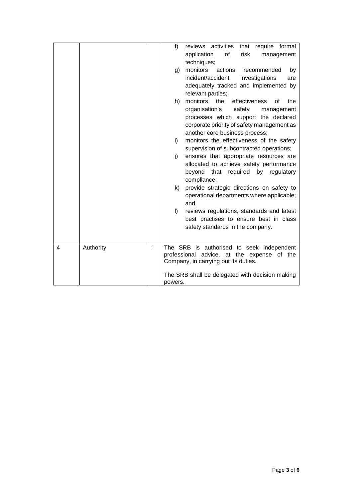|   |           |   | f)      | reviews activities<br>that require formal                                      |
|---|-----------|---|---------|--------------------------------------------------------------------------------|
|   |           |   |         | application<br>of<br>risk<br>management                                        |
|   |           |   |         | techniques;                                                                    |
|   |           |   | g)      | monitors<br>actions<br>recommended<br>by                                       |
|   |           |   |         | incident/accident<br>investigations<br>are                                     |
|   |           |   |         | adequately tracked and implemented by                                          |
|   |           |   |         | relevant parties;                                                              |
|   |           |   | h)      | monitors<br>effectiveness<br>the<br>the<br>οf                                  |
|   |           |   |         |                                                                                |
|   |           |   |         | organisation's<br>safety<br>management<br>processes which support the declared |
|   |           |   |         | corporate priority of safety management as                                     |
|   |           |   |         |                                                                                |
|   |           |   |         | another core business process;                                                 |
|   |           |   | i)      | monitors the effectiveness of the safety                                       |
|   |           |   |         | supervision of subcontracted operations;                                       |
|   |           |   | j)      | ensures that appropriate resources are                                         |
|   |           |   |         | allocated to achieve safety performance                                        |
|   |           |   |         | that required<br>by<br>beyond<br>regulatory                                    |
|   |           |   |         | compliance;                                                                    |
|   |           |   | k)      | provide strategic directions on safety to                                      |
|   |           |   |         | operational departments where applicable;                                      |
|   |           |   |         | and                                                                            |
|   |           |   | $\vert$ | reviews regulations, standards and latest                                      |
|   |           |   |         | best practises to ensure best in class                                         |
|   |           |   |         | safety standards in the company.                                               |
|   |           |   |         |                                                                                |
| 4 | Authority | t |         | The SRB is authorised to seek independent                                      |
|   |           |   |         | professional advice, at the expense of the                                     |
|   |           |   |         | Company, in carrying out its duties.                                           |
|   |           |   |         |                                                                                |
|   |           |   |         | The SRB shall be delegated with decision making                                |
|   |           |   | powers. |                                                                                |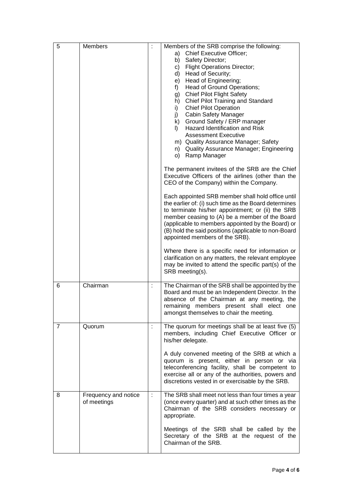| 5              | Members                             |   | Members of the SRB comprise the following:<br><b>Chief Executive Officer;</b><br>a)<br>Safety Director;<br>b)<br><b>Flight Operations Director;</b><br>C)<br>Head of Security;<br>d)<br>Head of Engineering;<br>e)<br>Head of Ground Operations;<br>f)<br><b>Chief Pilot Flight Safety</b><br>g)<br>Chief Pilot Training and Standard<br>h)<br><b>Chief Pilot Operation</b><br>i)<br><b>Cabin Safety Manager</b><br>j)<br>Ground Safety / ERP manager<br>k)<br><b>Hazard Identification and Risk</b><br>I)<br><b>Assessment Executive</b><br>m) Quality Assurance Manager; Safety<br>n) Quality Assurance Manager; Engineering<br>o) Ramp Manager<br>The permanent invitees of the SRB are the Chief<br>Executive Officers of the airlines (other than the<br>CEO of the Company) within the Company.<br>Each appointed SRB member shall hold office until<br>the earlier of: (i) such time as the Board determines<br>to terminate his/her appointment; or (ii) the SRB |
|----------------|-------------------------------------|---|--------------------------------------------------------------------------------------------------------------------------------------------------------------------------------------------------------------------------------------------------------------------------------------------------------------------------------------------------------------------------------------------------------------------------------------------------------------------------------------------------------------------------------------------------------------------------------------------------------------------------------------------------------------------------------------------------------------------------------------------------------------------------------------------------------------------------------------------------------------------------------------------------------------------------------------------------------------------------|
|                |                                     |   | member ceasing to (A) be a member of the Board<br>(applicable to members appointed by the Board) or<br>(B) hold the said positions (applicable to non-Board<br>appointed members of the SRB).                                                                                                                                                                                                                                                                                                                                                                                                                                                                                                                                                                                                                                                                                                                                                                            |
|                |                                     |   | Where there is a specific need for information or<br>clarification on any matters, the relevant employee<br>may be invited to attend the specific part(s) of the<br>SRB meeting(s).                                                                                                                                                                                                                                                                                                                                                                                                                                                                                                                                                                                                                                                                                                                                                                                      |
| 6              | Chairman                            | ÷ | The Chairman of the SRB shall be appointed by the<br>Board and must be an Independent Director. In the<br>absence of the Chairman at any meeting, the<br>remaining members present shall elect one<br>amongst themselves to chair the meeting.                                                                                                                                                                                                                                                                                                                                                                                                                                                                                                                                                                                                                                                                                                                           |
| $\overline{7}$ | Quorum                              |   | The quorum for meetings shall be at least five (5)<br>members, including Chief Executive Officer or<br>his/her delegate.                                                                                                                                                                                                                                                                                                                                                                                                                                                                                                                                                                                                                                                                                                                                                                                                                                                 |
|                |                                     |   | A duly convened meeting of the SRB at which a<br>quorum is present, either in person or via<br>teleconferencing facility, shall be competent to<br>exercise all or any of the authorities, powers and<br>discretions vested in or exercisable by the SRB.                                                                                                                                                                                                                                                                                                                                                                                                                                                                                                                                                                                                                                                                                                                |
| 8              | Frequency and notice<br>of meetings | ÷ | The SRB shall meet not less than four times a year<br>(once every quarter) and at such other times as the<br>Chairman of the SRB considers necessary or<br>appropriate.                                                                                                                                                                                                                                                                                                                                                                                                                                                                                                                                                                                                                                                                                                                                                                                                  |
|                |                                     |   | Meetings of the SRB shall be called by the<br>Secretary of the SRB at the request of the<br>Chairman of the SRB.                                                                                                                                                                                                                                                                                                                                                                                                                                                                                                                                                                                                                                                                                                                                                                                                                                                         |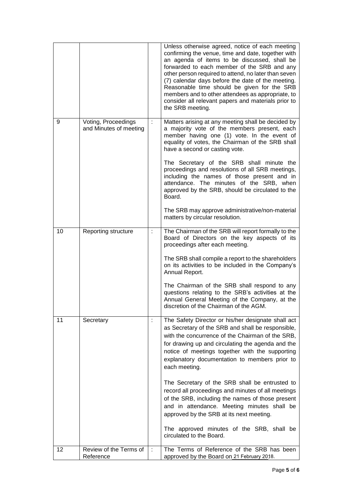|    |                                               |                | Unless otherwise agreed, notice of each meeting<br>confirming the venue, time and date, together with<br>an agenda of items to be discussed, shall be<br>forwarded to each member of the SRB and any<br>other person required to attend, no later than seven<br>(7) calendar days before the date of the meeting.<br>Reasonable time should be given for the SRB<br>members and to other attendees as appropriate, to<br>consider all relevant papers and materials prior to<br>the SRB meeting. |
|----|-----------------------------------------------|----------------|--------------------------------------------------------------------------------------------------------------------------------------------------------------------------------------------------------------------------------------------------------------------------------------------------------------------------------------------------------------------------------------------------------------------------------------------------------------------------------------------------|
| 9  | Voting, Proceedings<br>and Minutes of meeting | ÷              | Matters arising at any meeting shall be decided by<br>a majority vote of the members present, each<br>member having one (1) vote. In the event of<br>equality of votes, the Chairman of the SRB shall<br>have a second or casting vote.                                                                                                                                                                                                                                                          |
|    |                                               |                | The Secretary of the SRB shall minute the<br>proceedings and resolutions of all SRB meetings,<br>including the names of those present and in<br>attendance. The minutes of the SRB, when<br>approved by the SRB, should be circulated to the<br>Board.                                                                                                                                                                                                                                           |
|    |                                               |                | The SRB may approve administrative/non-material<br>matters by circular resolution.                                                                                                                                                                                                                                                                                                                                                                                                               |
| 10 | Reporting structure                           |                | The Chairman of the SRB will report formally to the<br>Board of Directors on the key aspects of its<br>proceedings after each meeting.                                                                                                                                                                                                                                                                                                                                                           |
|    |                                               |                | The SRB shall compile a report to the shareholders<br>on its activities to be included in the Company's<br>Annual Report.                                                                                                                                                                                                                                                                                                                                                                        |
|    |                                               |                | The Chairman of the SRB shall respond to any<br>questions relating to the SRB's activities at the<br>Annual General Meeting of the Company, at the<br>discretion of the Chairman of the AGM.                                                                                                                                                                                                                                                                                                     |
| 11 | Secretary                                     | $\ddot{\cdot}$ | The Safety Director or his/her designate shall act<br>as Secretary of the SRB and shall be responsible,<br>with the concurrence of the Chairman of the SRB,<br>for drawing up and circulating the agenda and the<br>notice of meetings together with the supporting<br>explanatory documentation to members prior to<br>each meeting.                                                                                                                                                            |
|    |                                               |                | The Secretary of the SRB shall be entrusted to<br>record all proceedings and minutes of all meetings<br>of the SRB, including the names of those present<br>and in attendance. Meeting minutes shall be<br>approved by the SRB at its next meeting.                                                                                                                                                                                                                                              |
|    |                                               |                | The approved minutes of the SRB, shall be<br>circulated to the Board.                                                                                                                                                                                                                                                                                                                                                                                                                            |
| 12 | Review of the Terms of<br>Reference           | ÷              | The Terms of Reference of the SRB has been<br>approved by the Board on 21 February 2018.                                                                                                                                                                                                                                                                                                                                                                                                         |